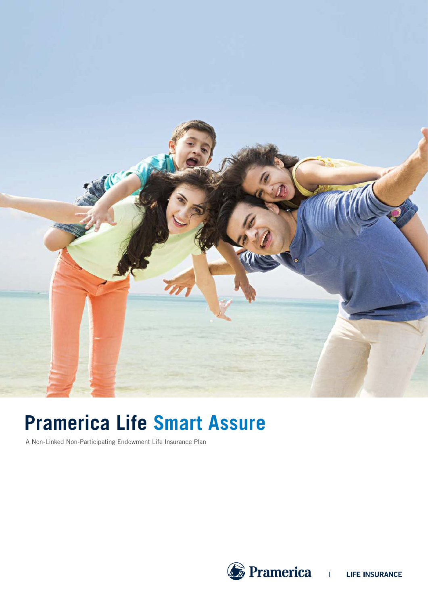

# **Pramerica Life Smart Assure**

A Non-Linked Non-Participating Endowment Life Insurance Plan

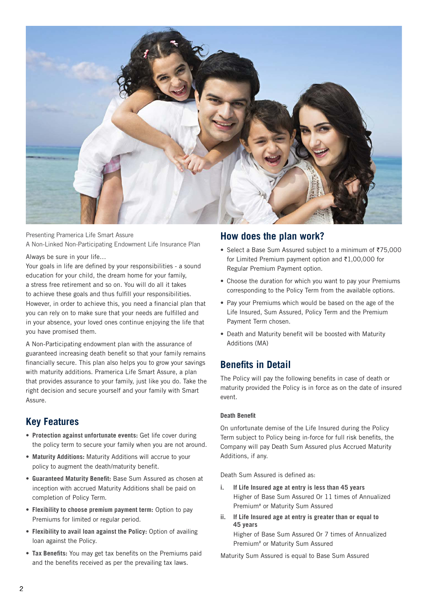

Presenting Pramerica Life Smart Assure A Non-Linked Non-Participating Endowment Life Insurance Plan

Always be sure in your life…

Your goals in life are defined by your responsibilities - a sound education for your child, the dream home for your family, a stress free retirement and so on. You will do all it takes to achieve these goals and thus fulfill your responsibilities. However, in order to achieve this, you need a financial plan that you can rely on to make sure that your needs are fulfilled and in your absence, your loved ones continue enjoying the life that you have promised them.

A Non-Participating endowment plan with the assurance of guaranteed increasing death benefit so that your family remains financially secure. This plan also helps you to grow your savings with maturity additions. Pramerica Life Smart Assure, a plan that provides assurance to your family, just like you do. Take the right decision and secure yourself and your family with Smart Assure.

## **Key Features**

- **• Protection against unfortunate events:** Get life cover during the policy term to secure your family when you are not around.
- **• Maturity Additions:** Maturity Additions will accrue to your policy to augment the death/maturity benefit.
- **• Guaranteed Maturity Benefit:** Base Sum Assured as chosen at inception with accrued Maturity Additions shall be paid on completion of Policy Term.
- **• Flexibility to choose premium payment term:** Option to pay Premiums for limited or regular period.
- **• Flexibility to avail loan against the Policy:** Option of availing loan against the Policy.
- **• Tax Benefits:** You may get tax benefits on the Premiums paid and the benefits received as per the prevailing tax laws.

### **How does the plan work?**

- Select a Base Sum Assured subject to a minimum of ₹75,000 for Limited Premium payment option and  $\bar{\tau}1,00,000$  for Regular Premium Payment option.
- **•** Choose the duration for which you want to pay your Premiums corresponding to the Policy Term from the available options.
- **•** Pay your Premiums which would be based on the age of the Life Insured, Sum Assured, Policy Term and the Premium Payment Term chosen.
- **•** Death and Maturity benefit will be boosted with Maturity Additions (MA)

## **Benefits in Detail**

The Policy will pay the following benefits in case of death or maturity provided the Policy is in force as on the date of insured event.

#### **Death Benefit**

On unfortunate demise of the Life Insured during the Policy Term subject to Policy being in-force for full risk benefits, the Company will pay Death Sum Assured plus Accrued Maturity Additions, if any.

Death Sum Assured is defined as:

- **i. If Life Insured age at entry is less than 45 years** Higher of Base Sum Assured Or 11 times of Annualized Premium<sup>#</sup> or Maturity Sum Assured
- **ii. If Life Insured age at entry is greater than or equal to 45 years** Higher of Base Sum Assured Or 7 times of Annualized Premium<sup>#</sup> or Maturity Sum Assured

Maturity Sum Assured is equal to Base Sum Assured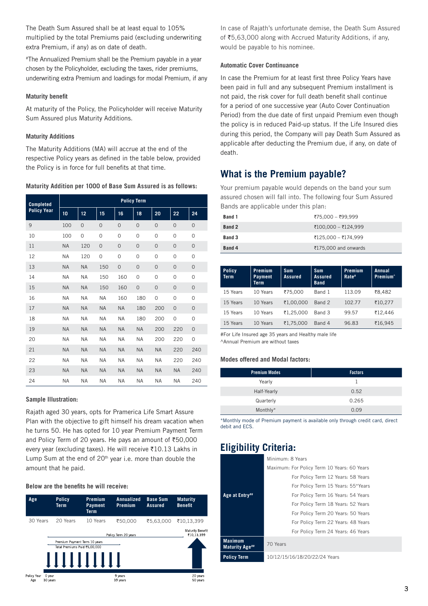The Death Sum Assured shall be at least equal to 105% multiplied by the total Premiums paid (excluding underwriting extra Premium, if any) as on date of death.

#The Annualized Premium shall be the Premium payable in a year chosen by the Policyholder, excluding the taxes, rider premiums, underwriting extra Premium and loadings for modal Premium, if any

#### **Maturity benefit**

At maturity of the Policy, the Policyholder will receive Maturity Sum Assured plus Maturity Additions.

#### **Maturity Additions**

The Maturity Additions (MA) will accrue at the end of the respective Policy years as defined in the table below, provided the Policy is in force for full benefits at that time.

|  |  | Maturity Addition per 1000 of Base Sum Assured is as follows: |
|--|--|---------------------------------------------------------------|
|--|--|---------------------------------------------------------------|

| <b>Completed</b>   | <b>Policy Term</b> |                |                |                |                |                |                |                |
|--------------------|--------------------|----------------|----------------|----------------|----------------|----------------|----------------|----------------|
| <b>Policy Year</b> | 10                 | 12             | 15             | 16             | 18             | 20             | 22             | 24             |
| 9                  | 100                | $\overline{0}$ | $\overline{0}$ | $\overline{0}$ | $\overline{0}$ | 0              | $\mathbf 0$    | 0              |
| 10                 | 100                | $\Omega$       | $\overline{0}$ | $\Omega$       | $\overline{O}$ | $\Omega$       | $\overline{0}$ | 0              |
| 11                 | <b>NA</b>          | 120            | $\mathbf 0$    | $\overline{0}$ | $\overline{0}$ | $\overline{0}$ | $\overline{0}$ | 0              |
| 12                 | <b>NA</b>          | 120            | $\overline{0}$ | $\overline{0}$ | $\overline{0}$ | 0              | $\overline{0}$ | 0              |
| 13                 | <b>NA</b>          | <b>NA</b>      | 150            | $\overline{0}$ | $\overline{0}$ | $\overline{0}$ | $\overline{0}$ | $\mathbf{0}$   |
| 14                 | <b>NA</b>          | <b>NA</b>      | 150            | 160            | $\overline{0}$ | 0              | $\overline{0}$ | $\overline{0}$ |
| 15                 | <b>NA</b>          | <b>NA</b>      | 150            | 160            | $\overline{0}$ | $\overline{0}$ | $\overline{0}$ | $\overline{0}$ |
| 16                 | <b>NA</b>          | <b>NA</b>      | <b>NA</b>      | 160            | 180            | $\overline{O}$ | $\overline{0}$ | 0              |
| 17                 | <b>NA</b>          | <b>NA</b>      | <b>NA</b>      | <b>NA</b>      | 180            | 200            | $\overline{0}$ | 0              |
| 18                 | <b>NA</b>          | <b>NA</b>      | <b>NA</b>      | <b>NA</b>      | 180            | 200            | $\overline{0}$ | 0              |
| 19                 | <b>NA</b>          | <b>NA</b>      | <b>NA</b>      | <b>NA</b>      | <b>NA</b>      | 200            | 220            | 0              |
| 20                 | <b>NA</b>          | <b>NA</b>      | <b>NA</b>      | <b>NA</b>      | <b>NA</b>      | 200            | 220            | $\overline{O}$ |
| 21                 | <b>NA</b>          | <b>NA</b>      | <b>NA</b>      | <b>NA</b>      | <b>NA</b>      | <b>NA</b>      | 220            | 240            |
| 22                 | <b>NA</b>          | <b>NA</b>      | <b>NA</b>      | <b>NA</b>      | <b>NA</b>      | <b>NA</b>      | 220            | 240            |
| 23                 | <b>NA</b>          | <b>NA</b>      | <b>NA</b>      | <b>NA</b>      | <b>NA</b>      | <b>NA</b>      | <b>NA</b>      | 240            |
| 24                 | <b>NA</b>          | <b>NA</b>      | <b>NA</b>      | <b>NA</b>      | <b>NA</b>      | <b>NA</b>      | <b>NA</b>      | 240            |

#### **Sample Illustration:**

Rajath aged 30 years, opts for Pramerica Life Smart Assure Plan with the objective to gift himself his dream vacation when he turns 50. He has opted for 10 year Premium Payment Term and Policy Term of 20 years. He pays an amount of  $\text{\texttt{\$50,000}}$ every year (excluding taxes). He will receive ₹10.13 Lakhs in Lump Sum at the end of 20<sup>th</sup> year i.e. more than double the amount that he paid.

#### **Below are the benefits he will receive:**



In case of Rajath's unfortunate demise, the Death Sum Assured of `5,63,000 along with Accrued Maturity Additions, if any, would be payable to his nominee.

#### **Automatic Cover Continuance**

In case the Premium for at least first three Policy Years have been paid in full and any subsequent Premium installment is not paid, the risk cover for full death benefit shall continue for a period of one successive year (Auto Cover Continuation Period) from the due date of first unpaid Premium even though the policy is in reduced Paid-up status. If the Life Insured dies during this period, the Company will pay Death Sum Assured as applicable after deducting the Premium due, if any, on date of death.

### **What is the Premium payable?**

Your premium payable would depends on the band your sum assured chosen will fall into. The following four Sum Assured Bands are applicable under this plan:

| Band 4 | ₹175,000 and onwards |
|--------|----------------------|
| Band 3 | ₹125,000 - ₹174,999  |
| Band 2 | ₹100,000 - ₹124,999  |
| Band 1 | ₹75,000 - ₹99,999    |

| <b>Policy</b><br><b>Term</b> | <b>Premium</b><br><b>Payment</b><br><b>Term</b> | <b>Sum</b><br><b>Assured</b> | <b>Sum</b><br><b>Assured</b><br><b>Band</b> | <b>Premium</b><br>Rate# | Annual<br>Premium <sup>^</sup> |
|------------------------------|-------------------------------------------------|------------------------------|---------------------------------------------|-------------------------|--------------------------------|
| 15 Years                     | 10 Years                                        | ₹75.000                      | Band 1                                      | 113.09                  | ₹8.482                         |
| 15 Years                     | 10 Years                                        | ₹1.00.000                    | Band 2                                      | 102.77                  | ₹10.277                        |
| 15 Years                     | 10 Years                                        | ₹1.25.000                    | Band 3                                      | 99.57                   | ₹12.446                        |
| 15 Years                     | 10 Years                                        | ₹1.75.000                    | Band 4                                      | 96.83                   | ₹16.945                        |

#For Life Insured age 35 years and Healthy male life

^Annual Premium are without taxes

#### **Modes offered and Modal factors:**

| <b>Premium Modes</b> | <b>Factors</b> |
|----------------------|----------------|
| Yearly               |                |
| Half-Yearly          | 0.52           |
| Quarterly            | 0.265          |
| Monthly*             | 0.09           |

\*Monthly mode of Premium payment is available only through credit card, direct debit and ECS.

# **Eligibility Criteria:**

| Minimum: 8 Years                        |                                             |  |  |  |  |  |
|-----------------------------------------|---------------------------------------------|--|--|--|--|--|
|                                         | Maximum: For Policy Term 10 Years: 60 Years |  |  |  |  |  |
|                                         | For Policy Term 12 Years: 58 Years          |  |  |  |  |  |
|                                         | For Policy Term 15 Years: 55*Years          |  |  |  |  |  |
| Age at Entry##                          | For Policy Term 16 Years: 54 Years          |  |  |  |  |  |
|                                         | For Policy Term 18 Years: 52 Years          |  |  |  |  |  |
|                                         | For Policy Term 20 Years: 50 Years          |  |  |  |  |  |
|                                         | For Policy Term 22 Years: 48 Years          |  |  |  |  |  |
|                                         | For Policy Term 24 Years: 46 Years          |  |  |  |  |  |
| <b>Maximum</b><br><b>Maturity Age##</b> | 70 Years                                    |  |  |  |  |  |
| <b>Policy Term</b>                      | 10/12/15/16/18/20/22/24 Years               |  |  |  |  |  |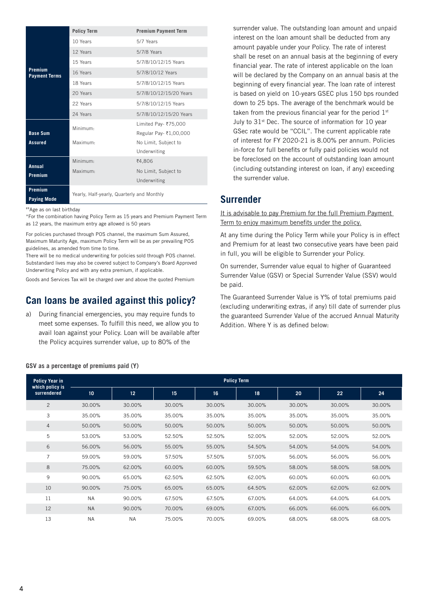|                                 | <b>Policy Term</b>                         | <b>Premium Payment Term</b> |  |  |  |
|---------------------------------|--------------------------------------------|-----------------------------|--|--|--|
|                                 | 10 Years                                   | 5/7 Years                   |  |  |  |
|                                 | 12 Years                                   | 5/7/8 Years                 |  |  |  |
|                                 | 15 Years                                   | 5/7/8/10/12/15 Years        |  |  |  |
| Premium<br><b>Payment Terms</b> | 16 Years                                   | 5/7/8/10/12 Years           |  |  |  |
|                                 | 18 Years                                   | 5/7/8/10/12/15 Years        |  |  |  |
|                                 | 20 Years                                   | 5/7/8/10/12/15/20 Years     |  |  |  |
|                                 | 22 Years                                   | 5/7/8/10/12/15 Years        |  |  |  |
|                                 | 24 Years                                   | 5/7/8/10/12/15/20 Years     |  |  |  |
|                                 | Minimum:                                   | Limited Pay- ₹75,000        |  |  |  |
| <b>Base Sum</b>                 |                                            | Regular Pay- ₹1,00,000      |  |  |  |
| <b>Assured</b>                  | Maximum:                                   | No Limit, Subject to        |  |  |  |
|                                 |                                            | Underwriting                |  |  |  |
|                                 | Minimum:                                   | ₹4,806                      |  |  |  |
| <b>Annual</b>                   | Maximum:                                   | No Limit, Subject to        |  |  |  |
| <b>Premium</b>                  |                                            | Underwriting                |  |  |  |
| Premium                         |                                            |                             |  |  |  |
| <b>Paying Mode</b>              | Yearly, Half-yearly, Quarterly and Monthly |                             |  |  |  |

##Age as on last birthday

\*For the combination having Policy Term as 15 years and Premium Payment Term as 12 years, the maximum entry age allowed is 50 years

For policies purchased through POS channel, the maximum Sum Assured, Maximum Maturity Age, maximum Policy Term will be as per prevailing POS guidelines, as amended from time to time.

There will be no medical underwriting for policies sold through POS channel. Substandard lives may also be covered subject to Company's Board Approved Underwriting Policy and with any extra premium, if applicable.

Goods and Services Tax will be charged over and above the quoted Premium

# **Can loans be availed against this policy?**

a) During financial emergencies, you may require funds to meet some expenses. To fulfill this need, we allow you to avail loan against your Policy. Loan will be available after the Policy acquires surrender value, up to 80% of the

surrender value. The outstanding loan amount and unpaid interest on the loan amount shall be deducted from any amount payable under your Policy. The rate of interest shall be reset on an annual basis at the beginning of every financial year. The rate of interest applicable on the loan will be declared by the Company on an annual basis at the beginning of every financial year. The loan rate of interest is based on yield on 10-years GSEC plus 150 bps rounded down to 25 bps. The average of the benchmark would be taken from the previous financial year for the period  $1<sup>st</sup>$ July to 31<sup>st</sup> Dec. The source of information for 10 year GSec rate would be "CCIL". The current applicable rate of interest for FY 2020-21 is 8.00% per annum. Policies in-force for full benefits or fully paid policies would not be foreclosed on the account of outstanding loan amount (including outstanding interest on loan, if any) exceeding the surrender value.

### **Surrender**

It is advisable to pay Premium for the full Premium Payment Term to enjoy maximum benefits under the policy.

At any time during the Policy Term while your Policy is in effect and Premium for at least two consecutive years have been paid in full, you will be eligible to Surrender your Policy.

On surrender, Surrender value equal to higher of Guaranteed Surrender Value (GSV) or Special Surrender Value (SSV) would be paid.

The Guaranteed Surrender Value is Y% of total premiums paid (excluding underwriting extras, if any) till date of surrender plus the guaranteed Surrender Value of the accrued Annual Maturity Addition. Where Y is as defined below:

| <b>Policy Year in</b><br>which policy is |           |           |        |        | <b>Policy Term</b> |        |        |        |
|------------------------------------------|-----------|-----------|--------|--------|--------------------|--------|--------|--------|
| surrendered                              | 10        | 12        | 15     | 16     | 18                 | 20     | 22     | 24     |
| $\overline{2}$                           | 30.00%    | 30.00%    | 30.00% | 30.00% | 30.00%             | 30.00% | 30.00% | 30.00% |
| 3                                        | 35.00%    | 35.00%    | 35.00% | 35.00% | 35.00%             | 35.00% | 35.00% | 35.00% |
| $\overline{4}$                           | 50.00%    | 50.00%    | 50.00% | 50.00% | 50.00%             | 50.00% | 50.00% | 50.00% |
| 5                                        | 53.00%    | 53.00%    | 52.50% | 52.50% | 52.00%             | 52.00% | 52.00% | 52.00% |
| 6                                        | 56.00%    | 56.00%    | 55.00% | 55.00% | 54.50%             | 54.00% | 54.00% | 54.00% |
| $\overline{7}$                           | 59.00%    | 59.00%    | 57.50% | 57.50% | 57.00%             | 56.00% | 56.00% | 56.00% |
| 8                                        | 75.00%    | 62.00%    | 60.00% | 60.00% | 59.50%             | 58.00% | 58.00% | 58.00% |
| 9                                        | 90.00%    | 65.00%    | 62.50% | 62.50% | 62.00%             | 60.00% | 60.00% | 60.00% |
| 10                                       | 90.00%    | 75.00%    | 65.00% | 65.00% | 64.50%             | 62.00% | 62.00% | 62.00% |
| 11                                       | <b>NA</b> | 90.00%    | 67.50% | 67.50% | 67.00%             | 64.00% | 64.00% | 64.00% |
| 12                                       | <b>NA</b> | 90.00%    | 70.00% | 69.00% | 67.00%             | 66.00% | 66.00% | 66.00% |
| 13                                       | <b>NA</b> | <b>NA</b> | 75.00% | 70.00% | 69.00%             | 68.00% | 68.00% | 68.00% |

#### **GSV as a percentage of premiums paid (Y)**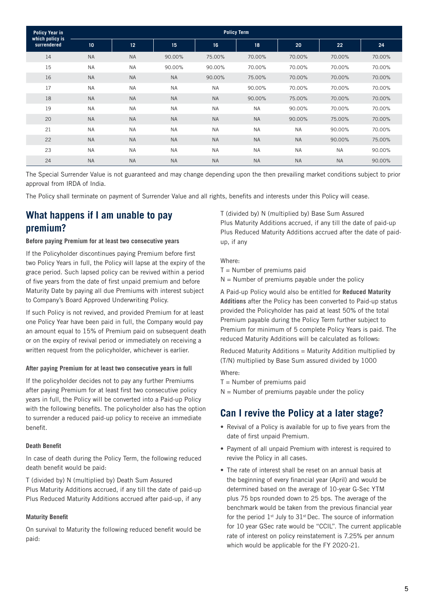| <b>Policy Year in</b>          | <b>Policy Term</b> |           |           |           |           |           |           |        |
|--------------------------------|--------------------|-----------|-----------|-----------|-----------|-----------|-----------|--------|
| which policy is<br>surrendered | 10                 | 12        | 15        | 16        | 18        | 20        | 22        | 24     |
| 14                             | <b>NA</b>          | <b>NA</b> | 90.00%    | 75.00%    | 70.00%    | 70.00%    | 70.00%    | 70.00% |
| 15                             | <b>NA</b>          | <b>NA</b> | 90.00%    | 90.00%    | 70.00%    | 70.00%    | 70.00%    | 70.00% |
| 16                             | <b>NA</b>          | <b>NA</b> | <b>NA</b> | 90.00%    | 75.00%    | 70.00%    | 70.00%    | 70.00% |
| 17                             | <b>NA</b>          | <b>NA</b> | <b>NA</b> | <b>NA</b> | 90.00%    | 70.00%    | 70.00%    | 70.00% |
| 18                             | <b>NA</b>          | <b>NA</b> | <b>NA</b> | <b>NA</b> | 90.00%    | 75.00%    | 70.00%    | 70.00% |
| 19                             | <b>NA</b>          | <b>NA</b> | <b>NA</b> | <b>NA</b> | <b>NA</b> | 90.00%    | 70.00%    | 70.00% |
| 20                             | <b>NA</b>          | <b>NA</b> | <b>NA</b> | <b>NA</b> | <b>NA</b> | 90.00%    | 75.00%    | 70.00% |
| 21                             | <b>NA</b>          | <b>NA</b> | <b>NA</b> | <b>NA</b> | <b>NA</b> | <b>NA</b> | 90.00%    | 70.00% |
| 22                             | <b>NA</b>          | <b>NA</b> | <b>NA</b> | <b>NA</b> | <b>NA</b> | <b>NA</b> | 90.00%    | 75.00% |
| 23                             | <b>NA</b>          | <b>NA</b> | <b>NA</b> | <b>NA</b> | <b>NA</b> | <b>NA</b> | <b>NA</b> | 90.00% |
| 24                             | <b>NA</b>          | <b>NA</b> | <b>NA</b> | <b>NA</b> | <b>NA</b> | <b>NA</b> | <b>NA</b> | 90.00% |

The Special Surrender Value is not guaranteed and may change depending upon the then prevailing market conditions subject to prior approval from IRDA of India.

The Policy shall terminate on payment of Surrender Value and all rights, benefits and interests under this Policy will cease.

### **What happens if I am unable to pay premium?**

#### **Before paying Premium for at least two consecutive years**

If the Policyholder discontinues paying Premium before first two Policy Years in full, the Policy will lapse at the expiry of the grace period. Such lapsed policy can be revived within a period of five years from the date of first unpaid premium and before Maturity Date by paying all due Premiums with interest subject to Company's Board Approved Underwriting Policy.

If such Policy is not revived, and provided Premium for at least one Policy Year have been paid in full, the Company would pay an amount equal to 15% of Premium paid on subsequent death or on the expiry of revival period or immediately on receiving a written request from the policyholder, whichever is earlier.

#### **After paying Premium for at least two consecutive years in full**

If the policyholder decides not to pay any further Premiums after paying Premium for at least first two consecutive policy years in full, the Policy will be converted into a Paid-up Policy with the following benefits. The policyholder also has the option to surrender a reduced paid-up policy to receive an immediate benefit.

#### **Death Benefit**

In case of death during the Policy Term, the following reduced death benefit would be paid:

T (divided by) N (multiplied by) Death Sum Assured Plus Maturity Additions accrued, if any till the date of paid-up Plus Reduced Maturity Additions accrued after paid-up, if any

#### **Maturity Benefit**

On survival to Maturity the following reduced benefit would be paid:

T (divided by) N (multiplied by) Base Sum Assured Plus Maturity Additions accrued, if any till the date of paid-up Plus Reduced Maturity Additions accrued after the date of paidup, if any

Where:

- $T =$  Number of premiums paid
- $N =$  Number of premiums payable under the policy

A Paid-up Policy would also be entitled for **Reduced Maturity Additions** after the Policy has been converted to Paid-up status provided the Policyholder has paid at least 50% of the total Premium payable during the Policy Term further subject to Premium for minimum of 5 complete Policy Years is paid. The reduced Maturity Additions will be calculated as follows:

Reduced Maturity Additions = Maturity Addition multiplied by (T/N) multiplied by Base Sum assured divided by 1000

Where:

 $T =$  Number of premiums paid

 $N =$  Number of premiums payable under the policy

## **Can I revive the Policy at a later stage?**

- **•** Revival of a Policy is available for up to five years from the date of first unpaid Premium.
- **•** Payment of all unpaid Premium with interest is required to revive the Policy in all cases.
- **•** The rate of interest shall be reset on an annual basis at the beginning of every financial year (April) and would be determined based on the average of 10-year G-Sec YTM plus 75 bps rounded down to 25 bps. The average of the benchmark would be taken from the previous financial year for the period  $1^{st}$  July to  $31^{st}$  Dec. The source of information for 10 year GSec rate would be "CCIL". The current applicable rate of interest on policy reinstatement is 7.25% per annum which would be applicable for the FY 2020-21.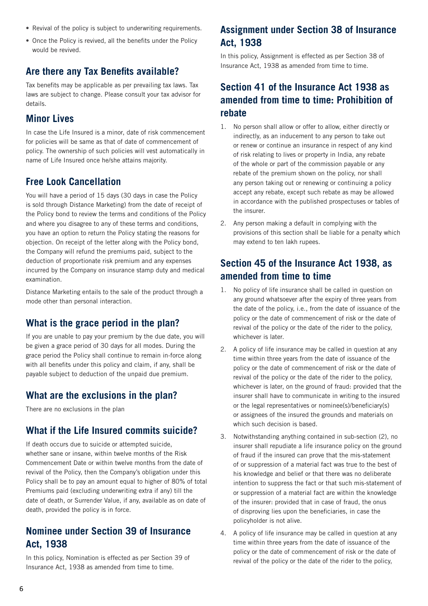- **•** Revival of the policy is subject to underwriting requirements.
- **•** Once the Policy is revived, all the benefits under the Policy would be revived.

## **Are there any Tax Benefits available?**

Tax benefits may be applicable as per prevailing tax laws. Tax laws are subject to change. Please consult your tax advisor for details.

## **Minor Lives**

In case the Life Insured is a minor, date of risk commencement for policies will be same as that of date of commencement of policy. The ownership of such policies will vest automatically in name of Life Insured once he/she attains majority.

## **Free Look Cancellation**

You will have a period of 15 days (30 days in case the Policy is sold through Distance Marketing) from the date of receipt of the Policy bond to review the terms and conditions of the Policy and where you disagree to any of these terms and conditions, you have an option to return the Policy stating the reasons for objection. On receipt of the letter along with the Policy bond, the Company will refund the premiums paid, subject to the deduction of proportionate risk premium and any expenses incurred by the Company on insurance stamp duty and medical examination.

Distance Marketing entails to the sale of the product through a mode other than personal interaction.

## **What is the grace period in the plan?**

If you are unable to pay your premium by the due date, you will be given a grace period of 30 days for all modes. During the grace period the Policy shall continue to remain in-force along with all benefits under this policy and claim, if any, shall be payable subject to deduction of the unpaid due premium.

## **What are the exclusions in the plan?**

There are no exclusions in the plan

### **What if the Life Insured commits suicide?**

If death occurs due to suicide or attempted suicide, whether sane or insane, within twelve months of the Risk Commencement Date or within twelve months from the date of revival of the Policy, then the Company's obligation under this Policy shall be to pay an amount equal to higher of 80% of total Premiums paid (excluding underwriting extra if any) till the date of death, or Surrender Value, if any, available as on date of death, provided the policy is in force.

## **Nominee under Section 39 of Insurance Act, 1938**

In this policy, Nomination is effected as per Section 39 of Insurance Act, 1938 as amended from time to time.

# **Assignment under Section 38 of Insurance Act, 1938**

In this policy, Assignment is effected as per Section 38 of Insurance Act, 1938 as amended from time to time.

# **Section 41 of the Insurance Act 1938 as amended from time to time: Prohibition of rebate**

- 1. No person shall allow or offer to allow, either directly or indirectly, as an inducement to any person to take out or renew or continue an insurance in respect of any kind of risk relating to lives or property in India, any rebate of the whole or part of the commission payable or any rebate of the premium shown on the policy, nor shall any person taking out or renewing or continuing a policy accept any rebate, except such rebate as may be allowed in accordance with the published prospectuses or tables of the insurer.
- 2. Any person making a default in complying with the provisions of this section shall be liable for a penalty which may extend to ten lakh rupees.

# **Section 45 of the Insurance Act 1938, as amended from time to time**

- 1. No policy of life insurance shall be called in question on any ground whatsoever after the expiry of three years from the date of the policy, i.e., from the date of issuance of the policy or the date of commencement of risk or the date of revival of the policy or the date of the rider to the policy, whichever is later.
- 2. A policy of life insurance may be called in question at any time within three years from the date of issuance of the policy or the date of commencement of risk or the date of revival of the policy or the date of the rider to the policy, whichever is later, on the ground of fraud: provided that the insurer shall have to communicate in writing to the insured or the legal representatives or nominee(s)/beneficiary(s) or assignees of the insured the grounds and materials on which such decision is based.
- 3. Notwithstanding anything contained in sub-section (2), no insurer shall repudiate a life insurance policy on the ground of fraud if the insured can prove that the mis-statement of or suppression of a material fact was true to the best of his knowledge and belief or that there was no deliberate intention to suppress the fact or that such mis-statement of or suppression of a material fact are within the knowledge of the insurer: provided that in case of fraud, the onus of disproving lies upon the beneficiaries, in case the policyholder is not alive.
- 4. A policy of life insurance may be called in question at any time within three years from the date of issuance of the policy or the date of commencement of risk or the date of revival of the policy or the date of the rider to the policy,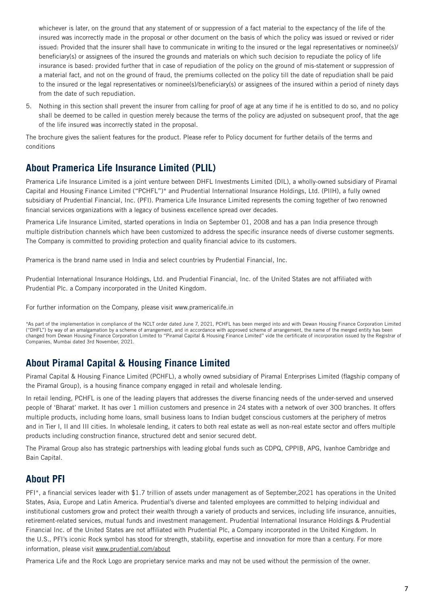whichever is later, on the ground that any statement of or suppression of a fact material to the expectancy of the life of the insured was incorrectly made in the proposal or other document on the basis of which the policy was issued or revived or rider issued: Provided that the insurer shall have to communicate in writing to the insured or the legal representatives or nominee(s)/ beneficiary(s) or assignees of the insured the grounds and materials on which such decision to repudiate the policy of life insurance is based: provided further that in case of repudiation of the policy on the ground of mis-statement or suppression of a material fact, and not on the ground of fraud, the premiums collected on the policy till the date of repudiation shall be paid to the insured or the legal representatives or nominee(s)/beneficiary(s) or assignees of the insured within a period of ninety days from the date of such repudiation.

5. Nothing in this section shall prevent the insurer from calling for proof of age at any time if he is entitled to do so, and no policy shall be deemed to be called in question merely because the terms of the policy are adjusted on subsequent proof, that the age of the life insured was incorrectly stated in the proposal.

The brochure gives the salient features for the product. Please refer to Policy document for further details of the terms and conditions

### **About Pramerica Life Insurance Limited (PLIL)**

Pramerica Life Insurance Limited is a joint venture between DHFL Investments Limited (DIL), a wholly-owned subsidiary of Piramal Capital and Housing Finance Limited ("PCHFL")\* and Prudential International Insurance Holdings, Ltd. (PIIH), a fully owned subsidiary of Prudential Financial, Inc. (PFI). Pramerica Life Insurance Limited represents the coming together of two renowned financial services organizations with a legacy of business excellence spread over decades.

Pramerica Life Insurance Limited, started operations in India on September 01, 2008 and has a pan India presence through multiple distribution channels which have been customized to address the specific insurance needs of diverse customer segments. The Company is committed to providing protection and quality financial advice to its customers.

Pramerica is the brand name used in India and select countries by Prudential Financial, Inc.

Prudential International Insurance Holdings, Ltd. and Prudential Financial, Inc. of the United States are not affiliated with Prudential Plc. a Company incorporated in the United Kingdom.

For further information on the Company, please visit www.pramericalife.in

\*As part of the implementation in compliance of the NCLT order dated June 7, 2021, PCHFL has been merged into and with Dewan Housing Finance Corporation Limited ("DHFL") by way of an amalgamation by a scheme of arrangement, and in accordance with approved scheme of arrangement, the name of the merged entity has been changed from Dewan Housing Finance Corporation Limited to "Piramal Capital & Housing Finance Limited" vide the certificate of incorporation issued by the Registrar of Companies, Mumbai dated 3rd November, 2021.

## **About Piramal Capital & Housing Finance Limited**

Piramal Capital & Housing Finance Limited (PCHFL), a wholly owned subsidiary of Piramal Enterprises Limited (flagship company of the Piramal Group), is a housing finance company engaged in retail and wholesale lending.

In retail lending, PCHFL is one of the leading players that addresses the diverse financing needs of the under-served and unserved people of 'Bharat' market. It has over 1 million customers and presence in 24 states with a network of over 300 branches. It offers multiple products, including home loans, small business loans to Indian budget conscious customers at the periphery of metros and in Tier I, II and III cities. In wholesale lending, it caters to both real estate as well as non-real estate sector and offers multiple products including construction finance, structured debt and senior secured debt.

The Piramal Group also has strategic partnerships with leading global funds such as CDPQ, CPPIB, APG, Ivanhoe Cambridge and Bain Capital.

### **About PFI**

PFI\*, a financial services leader with \$1.7 trillion of assets under management as of September,2021 has operations in the United States, Asia, Europe and Latin America. Prudential's diverse and talented employees are committed to helping individual and institutional customers grow and protect their wealth through a variety of products and services, including life insurance, annuities, retirement-related services, mutual funds and investment management. Prudential International Insurance Holdings & Prudential Financial Inc. of the United States are not affiliated with Prudential Plc, a Company incorporated in the United Kingdom. In the U.S., PFI's iconic Rock symbol has stood for strength, stability, expertise and innovation for more than a century. For more information, please visit www.prudential.com/about

Pramerica Life and the Rock Logo are proprietary service marks and may not be used without the permission of the owner.